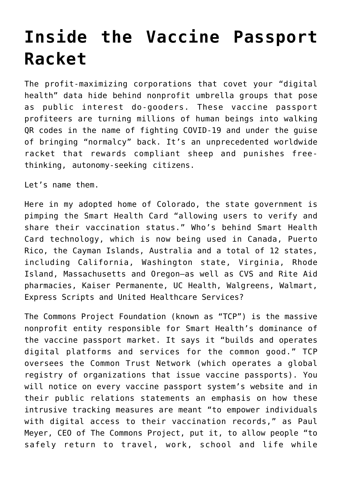## **[Inside the Vaccine Passport](https://intellectualtakeout.org/2021/12/inside-the-vaccine-passport-racket/) [Racket](https://intellectualtakeout.org/2021/12/inside-the-vaccine-passport-racket/)**

The profit-maximizing corporations that covet your "digital health" data hide behind nonprofit umbrella groups that pose as public interest do-gooders. These vaccine passport profiteers are turning millions of human beings into walking QR codes in the name of fighting COVID-19 and under the guise of bringing "normalcy" back. It's an unprecedented worldwide racket that rewards compliant sheep and punishes freethinking, autonomy-seeking citizens.

Let's name them.

Here in my adopted home of Colorado, the state government is pimping the Smart Health Card "allowing users to verify and share their vaccination status." Who's behind Smart Health Card technology, which is now being used in Canada, Puerto Rico, the Cayman Islands, Australia and a total of 12 states, including California, Washington state, Virginia, Rhode Island, Massachusetts and Oregon—as well as CVS and Rite Aid pharmacies, Kaiser Permanente, UC Health, Walgreens, Walmart, Express Scripts and United Healthcare Services?

The Commons Project Foundation (known as "TCP") is the massive nonprofit entity responsible for Smart Health's dominance of the vaccine passport market. It says it "builds and operates digital platforms and services for the common good." TCP oversees the Common Trust Network (which operates a global registry of organizations that issue vaccine passports). You will notice on every vaccine passport system's website and in their public relations statements an emphasis on how these intrusive tracking measures are meant "to empower individuals with digital access to their vaccination records," as Paul Meyer, CEO of The Commons Project, put it, to allow people "to safely return to travel, work, school and life while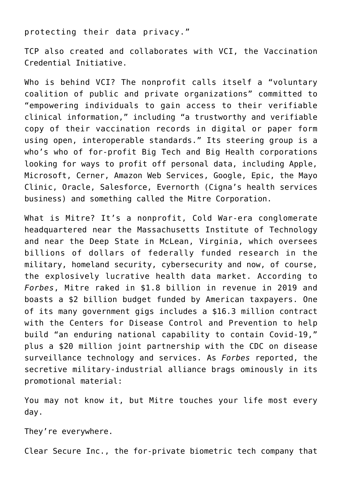protecting their data privacy."

TCP also created and collaborates with VCI, the Vaccination Credential Initiative.

Who is behind VCI? The nonprofit calls itself a "voluntary coalition of public and private organizations" committed to "empowering individuals to gain access to their verifiable clinical information," including "a trustworthy and verifiable copy of their vaccination records in digital or paper form using open, interoperable standards." Its steering group is a who's who of for-profit Big Tech and Big Health corporations looking for ways to profit off personal data, including Apple, Microsoft, Cerner, Amazon Web Services, Google, Epic, the Mayo Clinic, Oracle, Salesforce, Evernorth (Cigna's health services business) and something called the Mitre Corporation.

What is Mitre? It's a nonprofit, Cold War-era conglomerate headquartered near the Massachusetts Institute of Technology and near the Deep State in McLean, Virginia, which oversees billions of dollars of federally funded research in the military, homeland security, cybersecurity and now, of course, the explosively lucrative health data market. According to *Forbes*, Mitre raked in \$1.8 billion in revenue in 2019 and boasts a \$2 billion budget funded by American taxpayers. One of its many government gigs includes a \$16.3 million contract with the Centers for Disease Control and Prevention to help build "an enduring national capability to contain Covid-19," plus a \$20 million joint partnership with the CDC on disease surveillance technology and services. As *Forbes* reported, the secretive military-industrial alliance brags ominously in its promotional material:

You may not know it, but Mitre touches your life most every day.

They're everywhere.

Clear Secure Inc., the for-private biometric tech company that